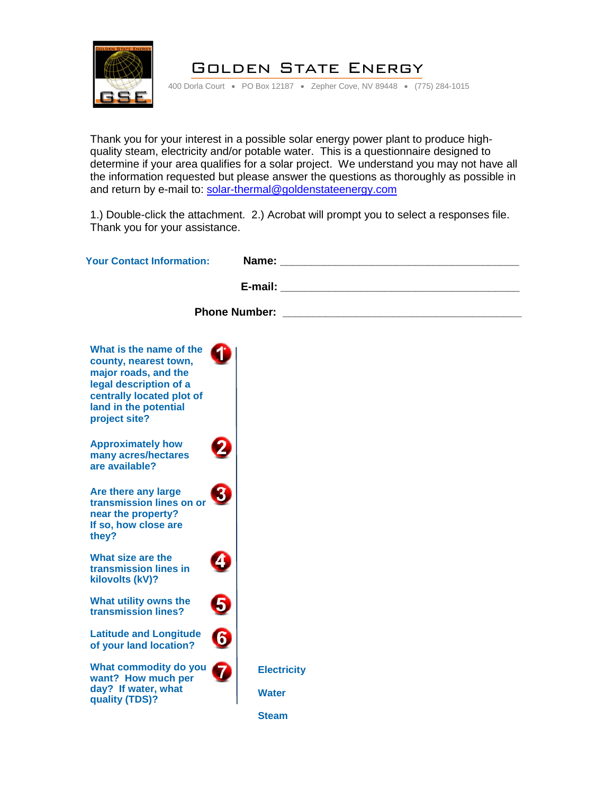

## Golden State Energy

400 Dorla Court • PO Box 12187 • Zepher Cove, NV 89448 • (775) 284-1015

Thank you for your interest in a possible solar energy power plant to produce highquality steam, electricity and/or potable water. This is a questionnaire designed to determine if your area qualifies for a solar project. We understand you may not have all the information requested but please answer the questions as thoroughly as possible in and return by e-mail to: [solar-thermal@goldenstateenergy.com](mailto:solar-thermal@goldenstateenergy.com)

1.) Double-click the attachment. 2.) Acrobat will prompt you to select a responses file. Thank you for your assistance.

| <b>Your Contact Information:</b>                                                                                                                                          |                                                                                                                                                                                          |                                                |  |
|---------------------------------------------------------------------------------------------------------------------------------------------------------------------------|------------------------------------------------------------------------------------------------------------------------------------------------------------------------------------------|------------------------------------------------|--|
|                                                                                                                                                                           | <b>E-mail: E-mail: E-mail: E-mail: E-mail: E-mail: E-mail: E-mail: E-mail: E-mail: E-mail: E-mail: E-mail: E-mail: E-mail: E-mail: E-mail: E-mail: E-mail: E-mail: E-mail: E-mail: E</b> |                                                |  |
| <b>Phone Number:</b>                                                                                                                                                      |                                                                                                                                                                                          | <u> 1980 - Jan Sterling Sterling (b. 1980)</u> |  |
| What is the name of the<br>county, nearest town,<br>major roads, and the<br>legal description of a<br>centrally located plot of<br>land in the potential<br>project site? |                                                                                                                                                                                          |                                                |  |
| <b>Approximately how</b><br>many acres/hectares<br>are available?                                                                                                         |                                                                                                                                                                                          |                                                |  |
| Are there any large<br>3<br>transmission lines on or<br>near the property?<br>If so, how close are<br>they?                                                               |                                                                                                                                                                                          |                                                |  |
| What size are the<br>4<br>transmission lines in<br>kilovolts (kV)?                                                                                                        |                                                                                                                                                                                          |                                                |  |
| What utility owns the<br>5,<br>transmission lines?                                                                                                                        |                                                                                                                                                                                          |                                                |  |
| 0<br><b>Latitude and Longitude</b><br>of your land location?                                                                                                              |                                                                                                                                                                                          |                                                |  |
| What commodity do you<br>7<br>want? How much per<br>day? If water, what<br>quality (TDS)?                                                                                 | <b>Electricity</b><br><b>Water</b>                                                                                                                                                       |                                                |  |
|                                                                                                                                                                           | <b>Steam</b>                                                                                                                                                                             |                                                |  |